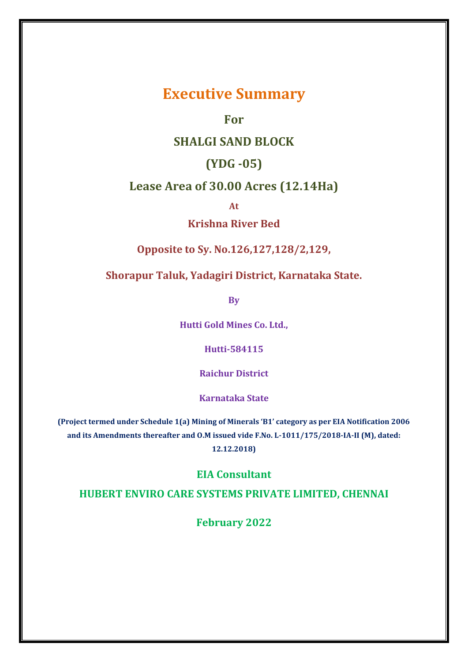# **Executive Summary**

# **For**

# **SHALGI SAND BLOCK**

# **(YDG -05)**

# **Lease Area of 30.00 Acres (12.14Ha)**

**At** 

# **Krishna River Bed**

# **Opposite to Sy. No.126,127,128/2,129,**

# **Shorapur Taluk, Yadagiri District, Karnataka State.**

**By**

**Hutti Gold Mines Co. Ltd.,**

**Hutti-584115**

**Raichur District**

**Karnataka State**

**(Project termed under Schedule 1(a) Mining of Minerals 'B1' category as per EIA Notification 2006 and its Amendments thereafter and O.M issued vide F.No. L-1011/175/2018-IA-II (M), dated:** 

**12.12.2018)**

# **EIA Consultant**

# **HUBERT ENVIRO CARE SYSTEMS PRIVATE LIMITED, CHENNAI**

**February 2022**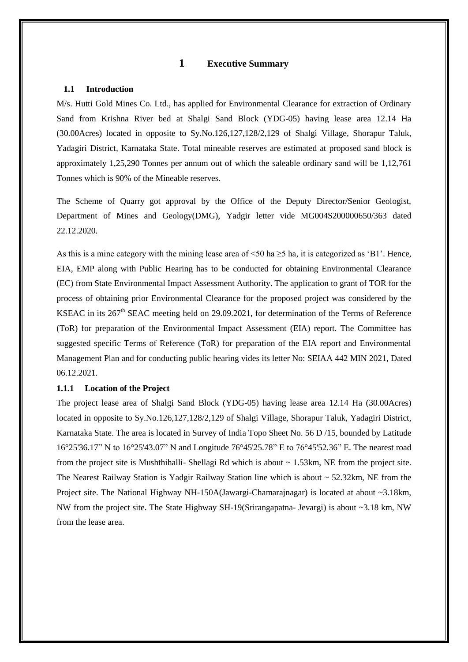# **1 Executive Summary**

#### **1.1 Introduction**

M/s. Hutti Gold Mines Co. Ltd., has applied for Environmental Clearance for extraction of Ordinary Sand from Krishna River bed at Shalgi Sand Block (YDG-05) having lease area 12.14 Ha (30.00Acres) located in opposite to Sy.No.126,127,128/2,129 of Shalgi Village, Shorapur Taluk, Yadagiri District, Karnataka State. Total mineable reserves are estimated at proposed sand block is approximately 1,25,290 Tonnes per annum out of which the saleable ordinary sand will be 1,12,761 Tonnes which is 90% of the Mineable reserves.

The Scheme of Quarry got approval by the Office of the Deputy Director/Senior Geologist, Department of Mines and Geology(DMG), Yadgir letter vide MG004S200000650/363 dated 22.12.2020.

As this is a mine category with the mining lease area of  $\leq 50$  ha  $\geq 5$  ha, it is categorized as 'B1'. Hence, EIA, EMP along with Public Hearing has to be conducted for obtaining Environmental Clearance (EC) from State Environmental Impact Assessment Authority. The application to grant of TOR for the process of obtaining prior Environmental Clearance for the proposed project was considered by the KSEAC in its 267<sup>th</sup> SEAC meeting held on 29.09.2021, for determination of the Terms of Reference (ToR) for preparation of the Environmental Impact Assessment (EIA) report. The Committee has suggested specific Terms of Reference (ToR) for preparation of the EIA report and Environmental Management Plan and for conducting public hearing vides its letter No: SEIAA 442 MIN 2021, Dated 06.12.2021.

#### **1.1.1 Location of the Project**

The project lease area of Shalgi Sand Block (YDG-05) having lease area 12.14 Ha (30.00Acres) located in opposite to Sy.No.126,127,128/2,129 of Shalgi Village, Shorapur Taluk, Yadagiri District, Karnataka State. The area is located in Survey of India Topo Sheet No. 56 D /15, bounded by Latitude 16°25'36.17" N to 16°25'43.07" N and Longitude 76°45'25.78" E to 76°45'52.36" E. The nearest road from the project site is Mushthihalli- Shellagi Rd which is about  $\sim 1.53 \text{km}$ , NE from the project site. The Nearest Railway Station is Yadgir Railway Station line which is about  $\sim$  52.32km, NE from the Project site. The National Highway NH-150A(Jawargi-Chamarajnagar) is located at about ~3.18km, NW from the project site. The State Highway SH-19(Srirangapatna- Jevargi) is about ~3.18 km, NW from the lease area.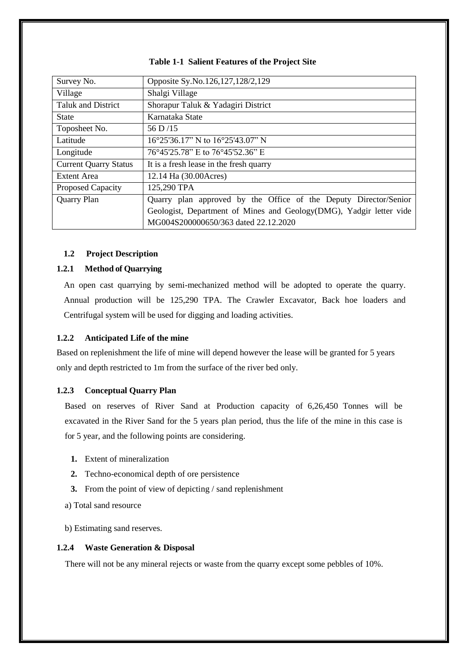| Survey No.                   | Opposite Sy.No.126,127,128/2,129                                    |
|------------------------------|---------------------------------------------------------------------|
| Village                      | Shalgi Village                                                      |
| Taluk and District           | Shorapur Taluk & Yadagiri District                                  |
| <b>State</b>                 | Karnataka State                                                     |
| Toposheet No.                | 56 D/15                                                             |
| Latitude                     | 16°25'36.17" N to 16°25'43.07" N                                    |
| Longitude                    | 76°45'25.78" E to 76°45'52.36" E                                    |
| <b>Current Quarry Status</b> | It is a fresh lease in the fresh quarry                             |
| Extent Area                  | 12.14 Ha (30.00 Acres)                                              |
| <b>Proposed Capacity</b>     | 125,290 TPA                                                         |
| Quarry Plan                  | Quarry plan approved by the Office of the Deputy Director/Senior    |
|                              | Geologist, Department of Mines and Geology(DMG), Yadgir letter vide |
|                              | MG004S200000650/363 dated 22.12.2020                                |

#### **Table 1-1 Salient Features of the Project Site**

# **1.2 Project Description**

#### **1.2.1 Method of Quarrying**

An open cast quarrying by semi-mechanized method will be adopted to operate the quarry. Annual production will be 125,290 TPA. The Crawler Excavator, Back hoe loaders and Centrifugal system will be used for digging and loading activities.

#### **1.2.2 Anticipated Life of the mine**

Based on replenishment the life of mine will depend however the lease will be granted for 5 years only and depth restricted to 1m from the surface of the river bed only.

#### **1.2.3 Conceptual Quarry Plan**

Based on reserves of River Sand at Production capacity of 6,26,450 Tonnes will be excavated in the River Sand for the 5 years plan period, thus the life of the mine in this case is for 5 year, and the following points are considering.

- **1.** Extent of mineralization
- **2.** Techno-economical depth of ore persistence
- **3.** From the point of view of depicting / sand replenishment
- a) Total sand resource
- b) Estimating sand reserves.

# **1.2.4 Waste Generation & Disposal**

There will not be any mineral rejects or waste from the quarry except some pebbles of 10%.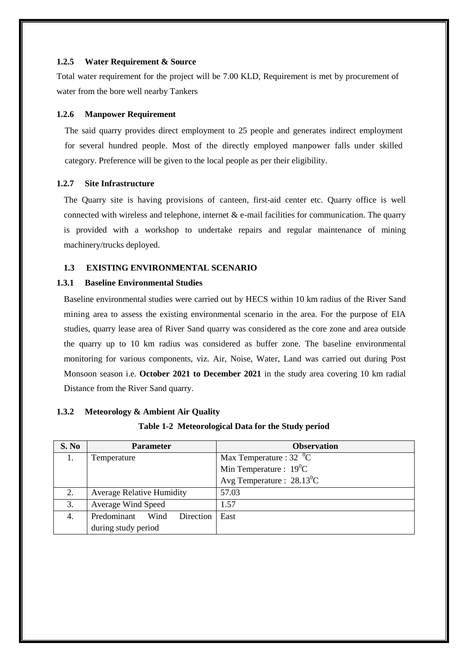#### **1.2.5 Water Requirement & Source**

Total water requirement for the project will be 7.00 KLD, Requirement is met by procurement of water from the bore well nearby Tankers

#### **1.2.6 Manpower Requirement**

The said quarry provides direct employment to 25 people and generates indirect employment for several hundred people. Most of the directly employed manpower falls under skilled category. Preference will be given to the local people as per their eligibility.

#### **1.2.7 Site Infrastructure**

The Quarry site is having provisions of canteen, first-aid center etc. Quarry office is well connected with wireless and telephone, internet  $\&$  e-mail facilities for communication. The quarry is provided with a workshop to undertake repairs and regular maintenance of mining machinery/trucks deployed.

# **1.3 EXISTING ENVIRONMENTAL SCENARIO**

#### **1.3.1 Baseline Environmental Studies**

Baseline environmental studies were carried out by HECS within 10 km radius of the River Sand mining area to assess the existing environmental scenario in the area. For the purpose of EIA studies, quarry lease area of River Sand quarry was considered as the core zone and area outside the quarry up to 10 km radius was considered as buffer zone. The baseline environmental monitoring for various components, viz. Air, Noise, Water, Land was carried out during Post Monsoon season i.e. **October 2021 to December 2021** in the study area covering 10 km radial Distance from the River Sand quarry.

# **1.3.2 Meteorology & Ambient Air Quality**

# **Table 1-2 Meteorological Data for the Study period**

| S. No | <b>Parameter</b>                 | <b>Observation</b>                        |  |
|-------|----------------------------------|-------------------------------------------|--|
| 1.    | Temperature                      | Max Temperature : $32 \text{ }^0\text{C}$ |  |
|       |                                  | Min Temperature : $19^0C$                 |  |
|       |                                  | Avg Temperature : $28.13^0C$              |  |
| 2.    | <b>Average Relative Humidity</b> | 57.03                                     |  |
| 3.    | Average Wind Speed               | 1.57                                      |  |
| 4.    | Predominant<br>Direction<br>Wind | East                                      |  |
|       | during study period              |                                           |  |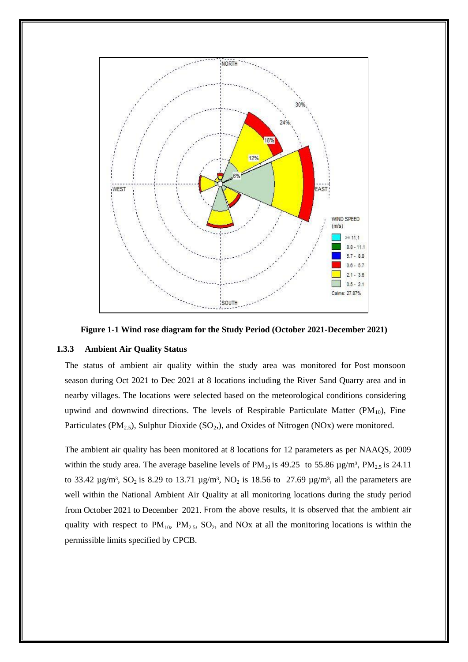



#### **1.3.3 Ambient Air Quality Status**

The status of ambient air quality within the study area was monitored for Post monsoon season during Oct 2021 to Dec 2021 at 8 locations including the River Sand Quarry area and in nearby villages. The locations were selected based on the meteorological conditions considering upwind and downwind directions. The levels of Respirable Particulate Matter ( $PM_{10}$ ), Fine Particulates (PM<sub>2.5</sub>), Sulphur Dioxide (SO<sub>2</sub>,), and Oxides of Nitrogen (NOx) were monitored.

The ambient air quality has been monitored at 8 locations for 12 parameters as per NAAQS, 2009 within the study area. The average baseline levels of  $PM_{10}$  is 49.25 to 55.86  $\mu$ g/m<sup>3</sup>, PM<sub>2.5</sub> is 24.11 to 33.42  $\mu$ g/m<sup>3</sup>, SO<sub>2</sub> is 8.29 to 13.71  $\mu$ g/m<sup>3</sup>, NO<sub>2</sub> is 18.56 to 27.69  $\mu$ g/m<sup>3</sup>, all the parameters are well within the National Ambient Air Quality at all monitoring locations during the study period from October 2021 to December 2021. From the above results, it is observed that the ambient air quality with respect to  $PM_{10}$ ,  $PM_{2.5}$ ,  $SO_2$ , and NOx at all the monitoring locations is within the permissible limits specified by CPCB.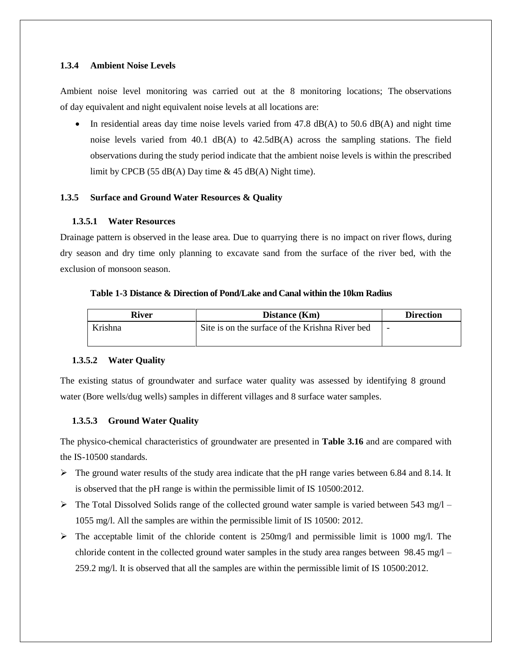#### **1.3.4 Ambient Noise Levels**

Ambient noise level monitoring was carried out at the 8 monitoring locations; The observations of day equivalent and night equivalent noise levels at all locations are:

In residential areas day time noise levels varied from 47.8  $dB(A)$  to 50.6  $dB(A)$  and night time noise levels varied from  $40.1$  dB(A) to  $42.5dB(A)$  across the sampling stations. The field observations during the study period indicate that the ambient noise levels is within the prescribed limit by CPCB (55  $dB(A)$  Day time  $\&$  45  $dB(A)$  Night time).

### **1.3.5 Surface and Ground Water Resources & Quality**

### **1.3.5.1 Water Resources**

Drainage pattern is observed in the lease area. Due to quarrying there is no impact on river flows, during dry season and dry time only planning to excavate sand from the surface of the river bed, with the exclusion of monsoon season.

#### **Table 1-3 Distance & Direction of Pond/Lake and Canal within the 10km Radius**

| <b>River</b> | Distance (Km)                                   | <b>Direction</b> |  |
|--------------|-------------------------------------------------|------------------|--|
| Krishna      | Site is on the surface of the Krishna River bed | -                |  |
|              |                                                 |                  |  |

#### **1.3.5.2 Water Quality**

The existing status of groundwater and surface water quality was assessed by identifying 8 ground water (Bore wells/dug wells) samples in different villages and 8 surface water samples.

#### **1.3.5.3 Ground Water Quality**

The physico-chemical characteristics of groundwater are presented in **Table 3.16** and are compared with the IS-10500 standards.

- $\triangleright$  The ground water results of the study area indicate that the pH range varies between 6.84 and 8.14. It is observed that the pH range is within the permissible limit of IS 10500:2012.
- $\triangleright$  The Total Dissolved Solids range of the collected ground water sample is varied between 543 mg/l 1055 mg/l. All the samples are within the permissible limit of IS 10500: 2012.
- $\triangleright$  The acceptable limit of the chloride content is 250mg/l and permissible limit is 1000 mg/l. The chloride content in the collected ground water samples in the study area ranges between  $98.45 \text{ mg/l} -$ 259.2 mg/l. It is observed that all the samples are within the permissible limit of IS 10500:2012.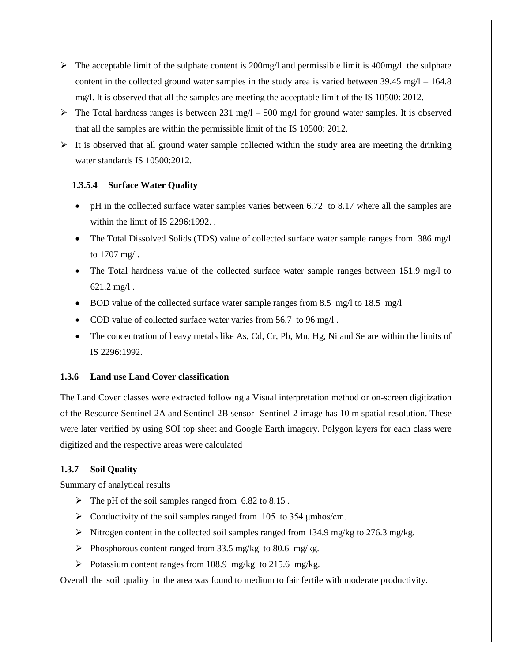- $\triangleright$  The acceptable limit of the sulphate content is 200mg/l and permissible limit is 400mg/l. the sulphate content in the collected ground water samples in the study area is varied between  $39.45 \text{ mg/l} - 164.8$ mg/l. It is observed that all the samples are meeting the acceptable limit of the IS 10500: 2012.
- $\triangleright$  The Total hardness ranges is between 231 mg/l 500 mg/l for ground water samples. It is observed that all the samples are within the permissible limit of the IS 10500: 2012.
- $\triangleright$  It is observed that all ground water sample collected within the study area are meeting the drinking water standards IS 10500:2012.

# **1.3.5.4 Surface Water Quality**

- pH in the collected surface water samples varies between 6.72 to 8.17 where all the samples are within the limit of IS 2296:1992. .
- The Total Dissolved Solids (TDS) value of collected surface water sample ranges from 386 mg/l to 1707 mg/l.
- The Total hardness value of the collected surface water sample ranges between 151.9 mg/l to 621.2 mg/l .
- BOD value of the collected surface water sample ranges from 8.5 mg/l to 18.5 mg/l
- COD value of collected surface water varies from 56.7 to 96 mg/l.
- The concentration of heavy metals like As, Cd, Cr, Pb, Mn, Hg, Ni and Se are within the limits of IS 2296:1992.

# **1.3.6 Land use Land Cover classification**

The Land Cover classes were extracted following a Visual interpretation method or on-screen digitization of the Resource Sentinel-2A and Sentinel-2B sensor- Sentinel-2 image has 10 m spatial resolution. These were later verified by using SOI top sheet and Google Earth imagery. Polygon layers for each class were digitized and the respective areas were calculated

# **1.3.7 Soil Quality**

Summary of analytical results

- $\triangleright$  The pH of the soil samples ranged from 6.82 to 8.15.
- $\triangleright$  Conductivity of the soil samples ranged from 105 to 354 µmhos/cm.
- Nitrogen content in the collected soil samples ranged from 134.9 mg/kg to 276.3 mg/kg.
- Phosphorous content ranged from 33.5 mg/kg to 80.6 mg/kg.
- Potassium content ranges from 108.9 mg/kg to 215.6 mg/kg.

Overall the soil quality in the area was found to medium to fair fertile with moderate productivity.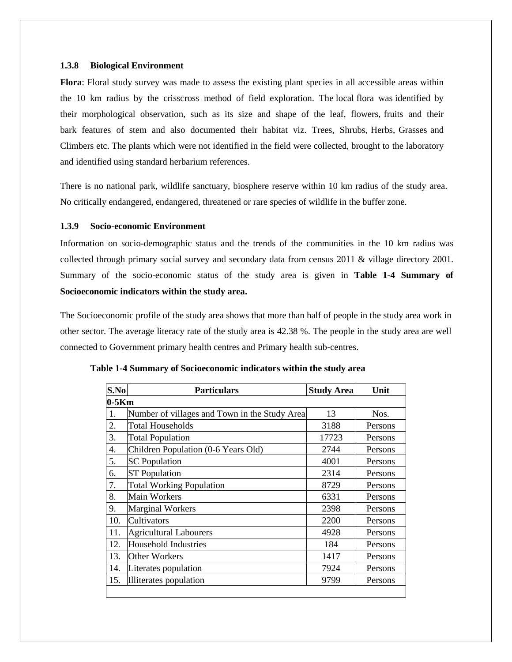#### **1.3.8 Biological Environment**

**Flora**: Floral study survey was made to assess the existing plant species in all accessible areas within the 10 km radius by the crisscross method of field exploration. The local flora was identified by their morphological observation, such as its size and shape of the leaf, flowers, fruits and their bark features of stem and also documented their habitat viz. Trees, Shrubs, Herbs, Grasses and Climbers etc. The plants which were not identified in the field were collected, brought to the laboratory and identified using standard herbarium references.

There is no national park, wildlife sanctuary, biosphere reserve within 10 km radius of the study area. No critically endangered, endangered, threatened or rare species of wildlife in the buffer zone.

#### **1.3.9 Socio-economic Environment**

Information on socio-demographic status and the trends of the communities in the 10 km radius was collected through primary social survey and secondary data from census 2011 & village directory 2001. Summary of the socio-economic status of the study area is given in **Table 1-4 [Summary of](#page-7-0)  [Socioeconomic indicators within the study area.](#page-7-0)**

The Socioeconomic profile of the study area shows that more than half of people in the study area work in other sector. The average literacy rate of the study area is 42.38 %. The people in the study area are well connected to Government primary health centres and Primary health sub-centres.

| S.No    | <b>Particulars</b>                            | <b>Study Area</b> | Unit    |  |
|---------|-----------------------------------------------|-------------------|---------|--|
| $0-5Km$ |                                               |                   |         |  |
| 1.      | Number of villages and Town in the Study Area | 13                | Nos.    |  |
| 2.      | <b>Total Households</b>                       | 3188              | Persons |  |
| 3.      | <b>Total Population</b>                       | 17723             | Persons |  |
| 4.      | Children Population (0-6 Years Old)           | 2744              | Persons |  |
| 5.      | <b>SC</b> Population                          | 4001              | Persons |  |
| 6.      | <b>ST Population</b>                          | 2314              | Persons |  |
| 7.      | <b>Total Working Population</b>               | 8729              | Persons |  |
| 8.      | <b>Main Workers</b>                           | 6331              | Persons |  |
| 9.      | <b>Marginal Workers</b>                       | 2398              | Persons |  |
| 10.     | Cultivators                                   | 2200              | Persons |  |
| 11.     | <b>Agricultural Labourers</b>                 | 4928              | Persons |  |
| 12.     | <b>Household Industries</b>                   | 184               | Persons |  |
| 13.     | <b>Other Workers</b>                          | 1417              | Persons |  |
| 14.     | Literates population                          | 7924              | Persons |  |
| 15.     | Illiterates population                        | 9799              | Persons |  |
|         |                                               |                   |         |  |

<span id="page-7-0"></span>

| Table 1-4 Summary of Socioeconomic indicators within the study area |
|---------------------------------------------------------------------|
|---------------------------------------------------------------------|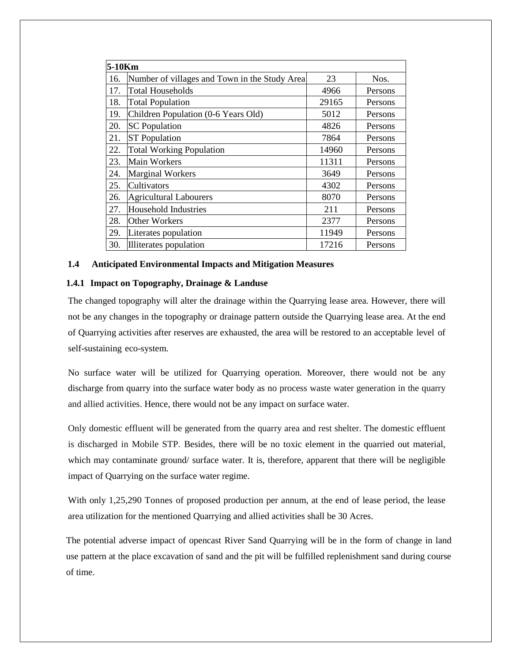| 5-10Km |                                               |       |         |
|--------|-----------------------------------------------|-------|---------|
| 16.    | Number of villages and Town in the Study Area | 23    | Nos.    |
| 17.    | <b>Total Households</b>                       | 4966  | Persons |
| 18.    | <b>Total Population</b>                       | 29165 | Persons |
| 19.    | Children Population (0-6 Years Old)           | 5012  | Persons |
| 20.    | <b>SC</b> Population                          | 4826  | Persons |
| 21.    | <b>ST Population</b>                          | 7864  | Persons |
| 22.    | <b>Total Working Population</b>               | 14960 | Persons |
| 23.    | <b>Main Workers</b>                           | 11311 | Persons |
| 24.    | <b>Marginal Workers</b>                       | 3649  | Persons |
| 25.    | Cultivators                                   | 4302  | Persons |
| 26.    | <b>Agricultural Labourers</b>                 | 8070  | Persons |
| 27.    | Household Industries                          | 211   | Persons |
| 28.    | Other Workers                                 | 2377  | Persons |
| 29.    | Literates population                          | 11949 | Persons |
| 30.    | Illiterates population                        | 17216 | Persons |

#### **1.4 Anticipated Environmental Impacts and Mitigation Measures**

#### **1.4.1 Impact on Topography, Drainage & Landuse**

The changed topography will alter the drainage within the Quarrying lease area. However, there will not be any changes in the topography or drainage pattern outside the Quarrying lease area. At the end of Quarrying activities after reserves are exhausted, the area will be restored to an acceptable level of self-sustaining eco-system.

No surface water will be utilized for Quarrying operation. Moreover, there would not be any discharge from quarry into the surface water body as no process waste water generation in the quarry and allied activities. Hence, there would not be any impact on surface water.

Only domestic effluent will be generated from the quarry area and rest shelter. The domestic effluent is discharged in Mobile STP. Besides, there will be no toxic element in the quarried out material, which may contaminate ground/ surface water. It is, therefore, apparent that there will be negligible impact of Quarrying on the surface water regime.

With only 1,25,290 Tonnes of proposed production per annum, at the end of lease period, the lease area utilization for the mentioned Quarrying and allied activities shall be 30 Acres.

The potential adverse impact of opencast River Sand Quarrying will be in the form of change in land use pattern at the place excavation of sand and the pit will be fulfilled replenishment sand during course of time.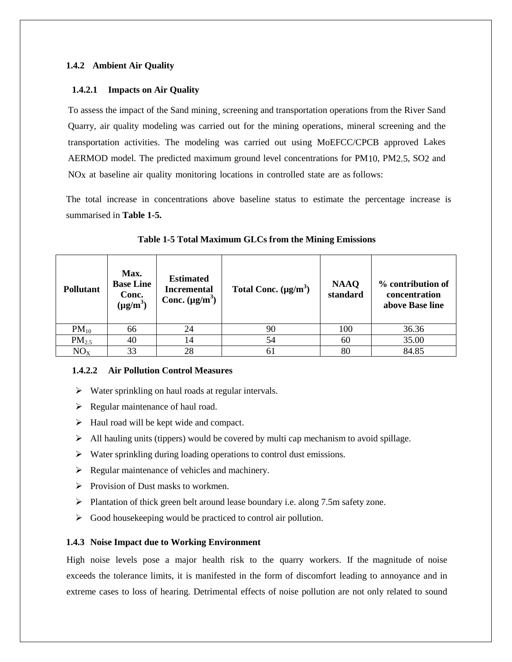# **1.4.2 Ambient Air Quality**

# **1.4.2.1 Impacts on Air Quality**

To assess the impact of the Sand mining¸ screening and transportation operations from the River Sand Quarry, air quality modeling was carried out for the mining operations, mineral screening and the transportation activities. The modeling was carried out using MoEFCC/CPCB approved Lakes AERMOD model. The predicted maximum ground level concentrations for PM10, PM2.5, SO2 and NOx at baseline air quality monitoring locations in controlled state are as follows:

The total increase in concentrations above baseline status to estimate the percentage increase is summarised in **[Table 1-5.](#page-9-0)**

<span id="page-9-0"></span>

| <b>Pollutant</b>  | Max.<br><b>Base Line</b><br>Conc.<br>$(\mu g/m^3)$ | <b>Estimated</b><br><b>Incremental</b><br>Conc. $(\mu g/m^3)$ | Total Conc. $(\mu g/m^3)$ | <b>NAAQ</b><br>standard | % contribution of<br>concentration<br>above Base line |
|-------------------|----------------------------------------------------|---------------------------------------------------------------|---------------------------|-------------------------|-------------------------------------------------------|
| $PM_{10}$         | 66                                                 | 24                                                            | 90                        | 100                     | 36.36                                                 |
| PM <sub>2.5</sub> | 40                                                 | 14                                                            | 54                        | 60                      | 35.00                                                 |
| NO <sub>x</sub>   | 33                                                 | 28                                                            | 61                        | 80                      | 84.85                                                 |

**Table 1-5 Total Maximum GLCs from the Mining Emissions**

# **1.4.2.2 Air Pollution Control Measures**

- $\triangleright$  Water sprinkling on haul roads at regular intervals.
- $\triangleright$  Regular maintenance of haul road.
- $\blacktriangleright$  Haul road will be kept wide and compact.
- $\triangleright$  All hauling units (tippers) would be covered by multi cap mechanism to avoid spillage.
- Water sprinkling during loading operations to control dust emissions.
- $\triangleright$  Regular maintenance of vehicles and machinery.
- $\triangleright$  Provision of Dust masks to workmen.
- Plantation of thick green belt around lease boundary i.e. along 7.5m safety zone.
- $\triangleright$  Good housekeeping would be practiced to control air pollution.

# **1.4.3 Noise Impact due to Working Environment**

High noise levels pose a major health risk to the quarry workers. If the magnitude of noise exceeds the tolerance limits, it is manifested in the form of discomfort leading to annoyance and in extreme cases to loss of hearing. Detrimental effects of noise pollution are not only related to sound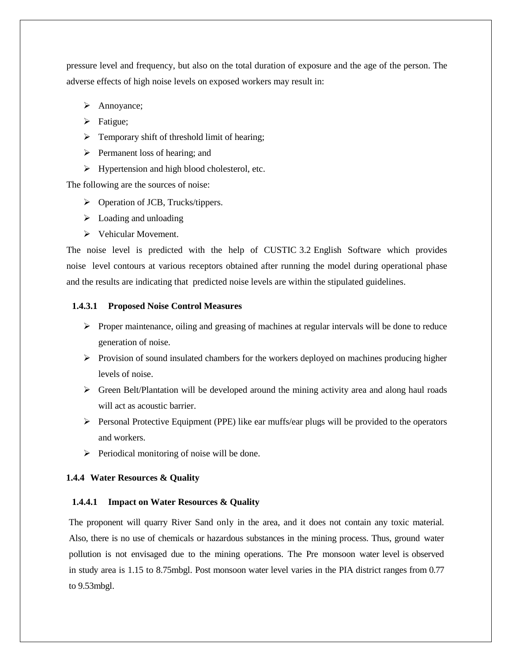pressure level and frequency, but also on the total duration of exposure and the age of the person. The adverse effects of high noise levels on exposed workers may result in:

- > Annoyance;
- $\triangleright$  Fatigue;
- $\triangleright$  Temporary shift of threshold limit of hearing;
- $\triangleright$  Permanent loss of hearing; and
- $\triangleright$  Hypertension and high blood cholesterol, etc.

The following are the sources of noise:

- $\triangleright$  Operation of JCB, Trucks/tippers.
- $\triangleright$  Loading and unloading
- $\triangleright$  Vehicular Movement.

The noise level is predicted with the help of CUSTIC 3.2 English Software which provides noise level contours at various receptors obtained after running the model during operational phase and the results are indicating that predicted noise levels are within the stipulated guidelines.

#### **1.4.3.1 Proposed Noise Control Measures**

- $\triangleright$  Proper maintenance, oiling and greasing of machines at regular intervals will be done to reduce generation of noise.
- $\triangleright$  Provision of sound insulated chambers for the workers deployed on machines producing higher levels of noise.
- Green Belt/Plantation will be developed around the mining activity area and along haul roads will act as acoustic barrier.
- $\triangleright$  Personal Protective Equipment (PPE) like ear muffs/ear plugs will be provided to the operators and workers.
- $\triangleright$  Periodical monitoring of noise will be done.

## **1.4.4 Water Resources & Quality**

#### **1.4.4.1 Impact on Water Resources & Quality**

The proponent will quarry River Sand only in the area, and it does not contain any toxic material. Also, there is no use of chemicals or hazardous substances in the mining process. Thus, ground water pollution is not envisaged due to the mining operations. The Pre monsoon water level is observed in study area is 1.15 to 8.75mbgl. Post monsoon water level varies in the PIA district ranges from 0.77 to 9.53mbgl.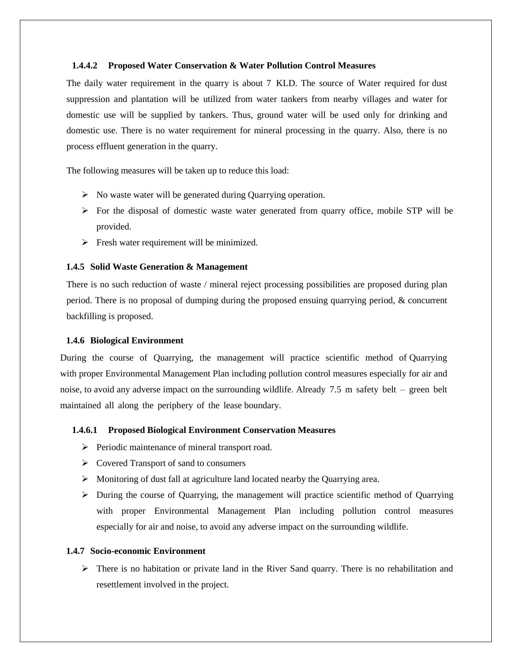#### **1.4.4.2 Proposed Water Conservation & Water Pollution Control Measures**

The daily water requirement in the quarry is about 7 KLD. The source of Water required for dust suppression and plantation will be utilized from water tankers from nearby villages and water for domestic use will be supplied by tankers. Thus, ground water will be used only for drinking and domestic use. There is no water requirement for mineral processing in the quarry. Also, there is no process effluent generation in the quarry.

The following measures will be taken up to reduce this load:

- $\triangleright$  No waste water will be generated during Quarrying operation.
- $\triangleright$  For the disposal of domestic waste water generated from quarry office, mobile STP will be provided.
- $\triangleright$  Fresh water requirement will be minimized.

#### **1.4.5 Solid Waste Generation & Management**

There is no such reduction of waste / mineral reject processing possibilities are proposed during plan period. There is no proposal of dumping during the proposed ensuing quarrying period, & concurrent backfilling is proposed.

#### **1.4.6 Biological Environment**

During the course of Quarrying, the management will practice scientific method of Quarrying with proper Environmental Management Plan including pollution control measures especially for air and noise, to avoid any adverse impact on the surrounding wildlife. Already 7.5 m safety belt – green belt maintained all along the periphery of the lease boundary.

#### **1.4.6.1 Proposed Biological Environment Conservation Measures**

- $\triangleright$  Periodic maintenance of mineral transport road.
- $\triangleright$  Covered Transport of sand to consumers
- $\triangleright$  Monitoring of dust fall at agriculture land located nearby the Quarrying area.
- $\triangleright$  During the course of Quarrying, the management will practice scientific method of Quarrying with proper Environmental Management Plan including pollution control measures especially for air and noise, to avoid any adverse impact on the surrounding wildlife.

#### **1.4.7 Socio-economic Environment**

 $\triangleright$  There is no habitation or private land in the River Sand quarry. There is no rehabilitation and resettlement involved in the project.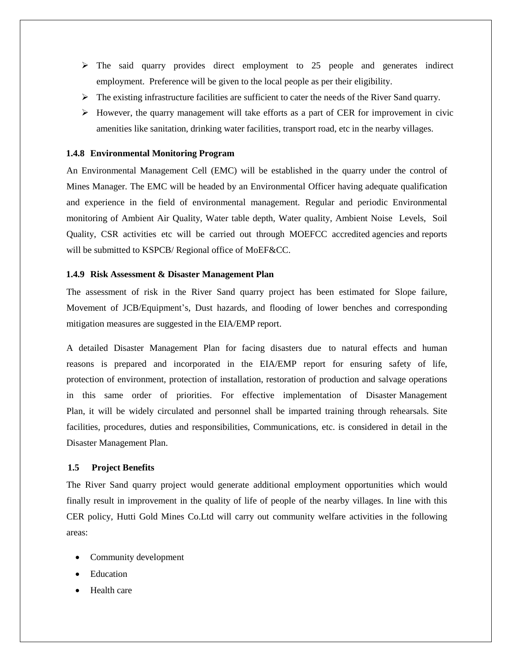- $\triangleright$  The said quarry provides direct employment to 25 people and generates indirect employment. Preference will be given to the local people as per their eligibility.
- $\triangleright$  The existing infrastructure facilities are sufficient to cater the needs of the River Sand quarry.
- $\triangleright$  However, the quarry management will take efforts as a part of CER for improvement in civic amenities like sanitation, drinking water facilities, transport road, etc in the nearby villages.

#### **1.4.8 Environmental Monitoring Program**

An Environmental Management Cell (EMC) will be established in the quarry under the control of Mines Manager. The EMC will be headed by an Environmental Officer having adequate qualification and experience in the field of environmental management. Regular and periodic Environmental monitoring of Ambient Air Quality, Water table depth, Water quality, Ambient Noise Levels, Soil Quality, CSR activities etc will be carried out through MOEFCC accredited agencies and reports will be submitted to KSPCB/ Regional office of MoEF&CC.

#### **1.4.9 Risk Assessment & Disaster Management Plan**

The assessment of risk in the River Sand quarry project has been estimated for Slope failure, Movement of JCB/Equipment's, Dust hazards, and flooding of lower benches and corresponding mitigation measures are suggested in the EIA/EMP report.

A detailed Disaster Management Plan for facing disasters due to natural effects and human reasons is prepared and incorporated in the EIA/EMP report for ensuring safety of life, protection of environment, protection of installation, restoration of production and salvage operations in this same order of priorities. For effective implementation of Disaster Management Plan, it will be widely circulated and personnel shall be imparted training through rehearsals. Site facilities, procedures, duties and responsibilities, Communications, etc. is considered in detail in the Disaster Management Plan.

#### **1.5 Project Benefits**

The River Sand quarry project would generate additional employment opportunities which would finally result in improvement in the quality of life of people of the nearby villages. In line with this CER policy, Hutti Gold Mines Co.Ltd will carry out community welfare activities in the following areas:

- Community development
- Education
- Health care